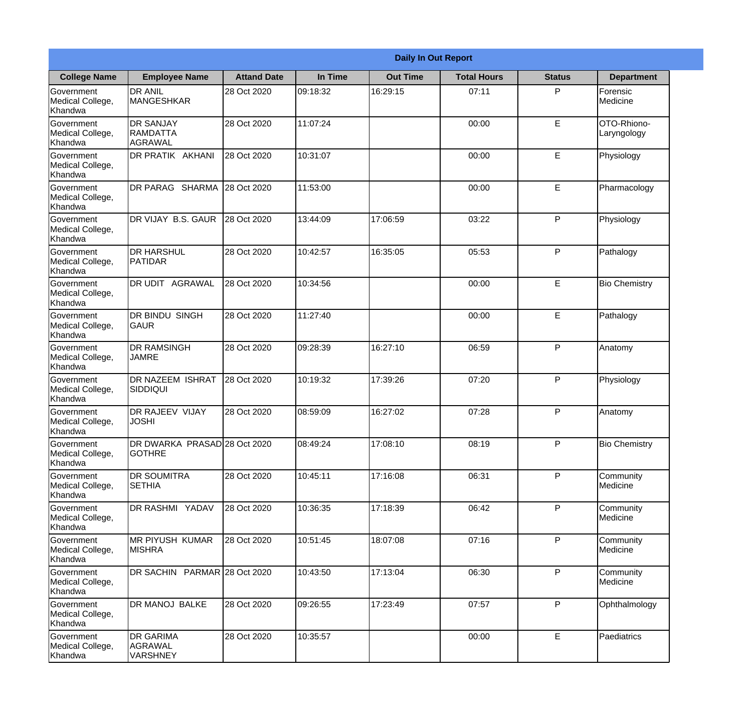|                                                  |                                                |                    |          | <b>Daily In Out Report</b> |                    |               |                            |
|--------------------------------------------------|------------------------------------------------|--------------------|----------|----------------------------|--------------------|---------------|----------------------------|
| <b>College Name</b>                              | <b>Employee Name</b>                           | <b>Attand Date</b> | In Time  | <b>Out Time</b>            | <b>Total Hours</b> | <b>Status</b> | <b>Department</b>          |
| Government<br>Medical College,<br>Khandwa        | <b>DR ANIL</b><br><b>MANGESHKAR</b>            | 28 Oct 2020        | 09:18:32 | 16:29:15                   | 07:11              | P             | Forensic<br>Medicine       |
| Government<br>Medical College,<br>Khandwa        | <b>DR SANJAY</b><br><b>RAMDATTA</b><br>AGRAWAL | 28 Oct 2020        | 11:07:24 |                            | 00:00              | $\mathsf E$   | OTO-Rhiono-<br>Laryngology |
| <b>Government</b><br>Medical College,<br>Khandwa | <b>IDR PRATIK AKHANI</b>                       | 28 Oct 2020        | 10:31:07 |                            | 00:00              | E             | Physiology                 |
| <b>Government</b><br>Medical College,<br>Khandwa | <b>DR PARAG SHARMA</b>                         | 28 Oct 2020        | 11:53:00 |                            | 00:00              | E             | Pharmacology               |
| Government<br>Medical College,<br>Khandwa        | DR VIJAY B.S. GAUR                             | 28 Oct 2020        | 13:44:09 | 17:06:59                   | 03:22              | P             | Physiology                 |
| Government<br>Medical College,<br>Khandwa        | <b>DR HARSHUL</b><br>PATIDAR                   | 28 Oct 2020        | 10:42:57 | 16:35:05                   | 05:53              | P             | Pathalogy                  |
| <b>Government</b><br>Medical College,<br>Khandwa | <b>DR UDIT AGRAWAL</b>                         | 28 Oct 2020        | 10:34:56 |                            | 00:00              | E             | <b>Bio Chemistry</b>       |
| <b>Government</b><br>Medical College,<br>Khandwa | <b>DR BINDU SINGH</b><br><b>GAUR</b>           | 28 Oct 2020        | 11:27:40 |                            | 00:00              | E             | Pathalogy                  |
| Government<br>Medical College,<br>Khandwa        | <b>DR RAMSINGH</b><br><b>JAMRE</b>             | 28 Oct 2020        | 09:28:39 | 16:27:10                   | 06:59              | P             | Anatomy                    |
| Government<br>Medical College,<br>Khandwa        | DR NAZEEM ISHRAT<br>SIDDIQUI                   | 28 Oct 2020        | 10:19:32 | 17:39:26                   | 07:20              | P             | Physiology                 |
| Government<br>Medical College,<br>Khandwa        | <b>DR RAJEEV VIJAY</b><br><b>JOSHI</b>         | 28 Oct 2020        | 08:59:09 | 16:27:02                   | 07:28              | P             | Anatomy                    |
| Government<br>Medical College,<br>Khandwa        | DR DWARKA PRASAD 28 Oct 2020<br><b>GOTHRE</b>  |                    | 08:49:24 | 17:08:10                   | 08:19              | P             | <b>Bio Chemistry</b>       |
| Government<br>Medical College,<br>Khandwa        | <b>DR SOUMITRA</b><br><b>SETHIA</b>            | 28 Oct 2020        | 10:45:11 | 17:16:08                   | 06:31              | P             | Community<br>Medicine      |
| Government<br>Medical College,<br>Khandwa        | <b>DR RASHMI YADAV</b>                         | 28 Oct 2020        | 10:36:35 | 17:18:39                   | 06:42              | P             | Community<br>Medicine      |
| Government<br>Medical College,<br>Khandwa        | IMR PIYUSH KUMAR<br><b>MISHRA</b>              | 28 Oct 2020        | 10:51:45 | 18:07:08                   | 07:16              | P             | Community<br>Medicine      |
| Government<br>Medical College,<br>Khandwa        | DR SACHIN PARMAR 28 Oct 2020                   |                    | 10:43:50 | 17:13:04                   | 06:30              | P             | Community<br>Medicine      |
| Government<br>Medical College,<br>Khandwa        | DR MANOJ BALKE                                 | 28 Oct 2020        | 09:26:55 | 17:23:49                   | 07:57              | P             | Ophthalmology              |
| Government<br>Medical College,<br>Khandwa        | <b>DR GARIMA</b><br>AGRAWAL<br><b>VARSHNEY</b> | 28 Oct 2020        | 10:35:57 |                            | 00:00              | $\mathsf E$   | Paediatrics                |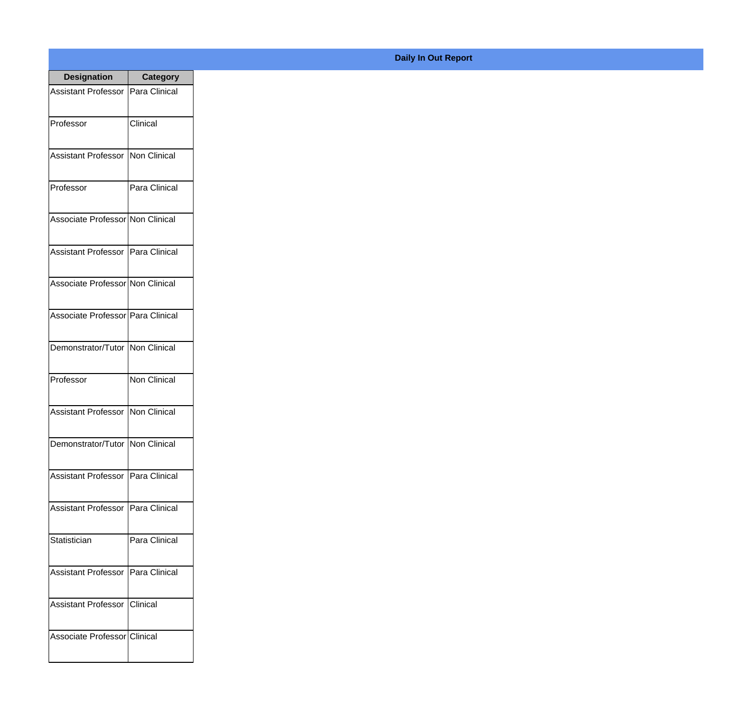| <b>Designation</b>                  | <b>Category</b> |
|-------------------------------------|-----------------|
| Assistant Professor   Para Clinical |                 |
| Professor                           | Clinical        |
| Assistant Professor                 | Non Clinical    |
| Professor                           | Para Clinical   |
| Associate Professor Non Clinical    |                 |
| Assistant Professor   Para Clinical |                 |
| Associate Professor Non Clinical    |                 |
| Associate Professor Para Clinical   |                 |
| Demonstrator/Tutor   Non Clinical   |                 |
| Professor                           | Non Clinical    |
| Assistant Professor                 | Non Clinical    |
| Demonstrator/Tutor   Non Clinical   |                 |
| Assistant Professor   Para Clinical |                 |
| Assistant Professor   Para Clinical |                 |
| Statistician                        | Para Clinical   |
| <b>Assistant Professor</b>          | IPara Clinical  |
| <b>Assistant Professor</b>          | <b>Clinical</b> |
| Associate Professor Clinical        |                 |

## **Daily In Out Report**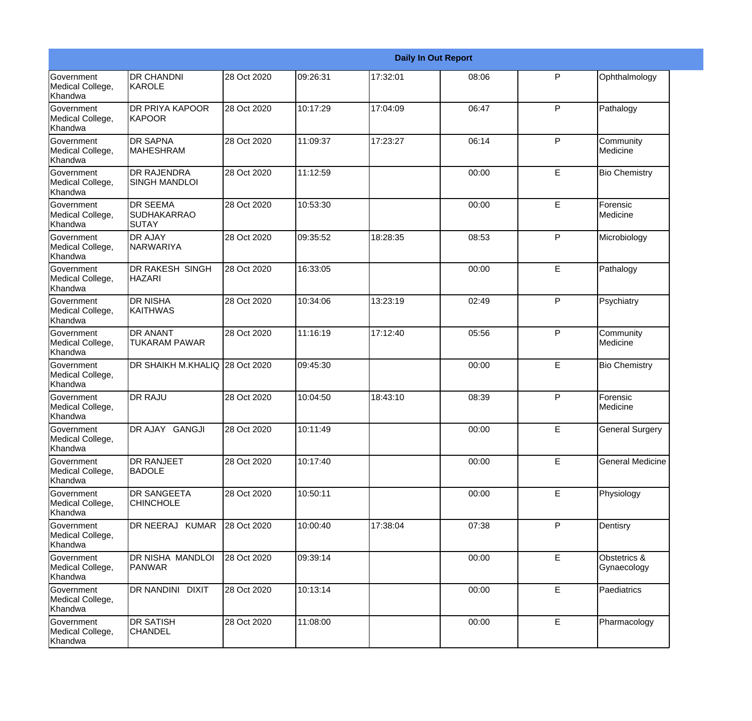|                                                  |                                                |             |          |          | <b>Daily In Out Report</b> |   |                             |
|--------------------------------------------------|------------------------------------------------|-------------|----------|----------|----------------------------|---|-----------------------------|
| <b>Government</b><br>Medical College,<br>Khandwa | <b>DR CHANDNI</b><br>KAROLE                    | 28 Oct 2020 | 09:26:31 | 17:32:01 | 08:06                      | P | Ophthalmology               |
| Government<br>Medical College,<br>Khandwa        | <b>DR PRIYA KAPOOR</b><br>KAPOOR               | 28 Oct 2020 | 10:17:29 | 17:04:09 | 06:47                      | P | Pathalogy                   |
| Government<br>Medical College,<br>Khandwa        | <b>DR SAPNA</b><br><b>MAHESHRAM</b>            | 28 Oct 2020 | 11:09:37 | 17:23:27 | 06:14                      | P | Community<br>Medicine       |
| Government<br>Medical College,<br>Khandwa        | <b>DR RAJENDRA</b><br><b>SINGH MANDLOI</b>     | 28 Oct 2020 | 11:12:59 |          | 00:00                      | E | <b>Bio Chemistry</b>        |
| <b>Government</b><br>Medical College,<br>Khandwa | <b>DR SEEMA</b><br><b>SUDHAKARRAO</b><br>SUTAY | 28 Oct 2020 | 10:53:30 |          | 00:00                      | E | Forensic<br>Medicine        |
| Government<br>Medical College,<br>Khandwa        | <b>DR AJAY</b><br><b>NARWARIYA</b>             | 28 Oct 2020 | 09:35:52 | 18:28:35 | 08:53                      | P | Microbiology                |
| Government<br>Medical College,<br>Khandwa        | <b>DR RAKESH SINGH</b><br><b>HAZARI</b>        | 28 Oct 2020 | 16:33:05 |          | 00:00                      | E | Pathalogy                   |
| Government<br>Medical College,<br>Khandwa        | <b>DR NISHA</b><br><b>KAITHWAS</b>             | 28 Oct 2020 | 10:34:06 | 13:23:19 | 02:49                      | P | Psychiatry                  |
| <b>Government</b><br>Medical College,<br>Khandwa | <b>DR ANANT</b><br><b>TUKARAM PAWAR</b>        | 28 Oct 2020 | 11:16:19 | 17:12:40 | 05:56                      | P | Community<br>Medicine       |
| Government<br>Medical College,<br>Khandwa        | DR SHAIKH M.KHALIQ 28 Oct 2020                 |             | 09:45:30 |          | 00:00                      | E | <b>Bio Chemistry</b>        |
| Government<br>Medical College,<br>Khandwa        | <b>DR RAJU</b>                                 | 28 Oct 2020 | 10:04:50 | 18:43:10 | 08:39                      | P | Forensic<br>Medicine        |
| Government<br>Medical College,<br>Khandwa        | DR AJAY GANGJI                                 | 28 Oct 2020 | 10:11:49 |          | 00:00                      | E | <b>General Surgery</b>      |
| Government<br>Medical College,<br>Khandwa        | <b>DR RANJEET</b><br><b>BADOLE</b>             | 28 Oct 2020 | 10:17:40 |          | 00:00                      | E | <b>General Medicine</b>     |
| Government<br>Medical College,<br>Khandwa        | <b>DR SANGEETA</b><br><b>CHINCHOLE</b>         | 28 Oct 2020 | 10:50:11 |          | 00:00                      | E | Physiology                  |
| Government<br>Medical College,<br>Khandwa        | DR NEERAJ KUMAR                                | 28 Oct 2020 | 10:00:40 | 17:38:04 | 07:38                      | P | Dentisry                    |
| Government<br>Medical College,<br>Khandwa        | DR NISHA MANDLOI<br><b>PANWAR</b>              | 28 Oct 2020 | 09:39:14 |          | 00:00                      | E | Obstetrics &<br>Gynaecology |
| Government<br>Medical College,<br>Khandwa        | <b>DR NANDINI DIXIT</b>                        | 28 Oct 2020 | 10:13:14 |          | 00:00                      | E | Paediatrics                 |
| Government<br>Medical College,<br>Khandwa        | <b>DR SATISH</b><br><b>CHANDEL</b>             | 28 Oct 2020 | 11:08:00 |          | 00:00                      | E | Pharmacology                |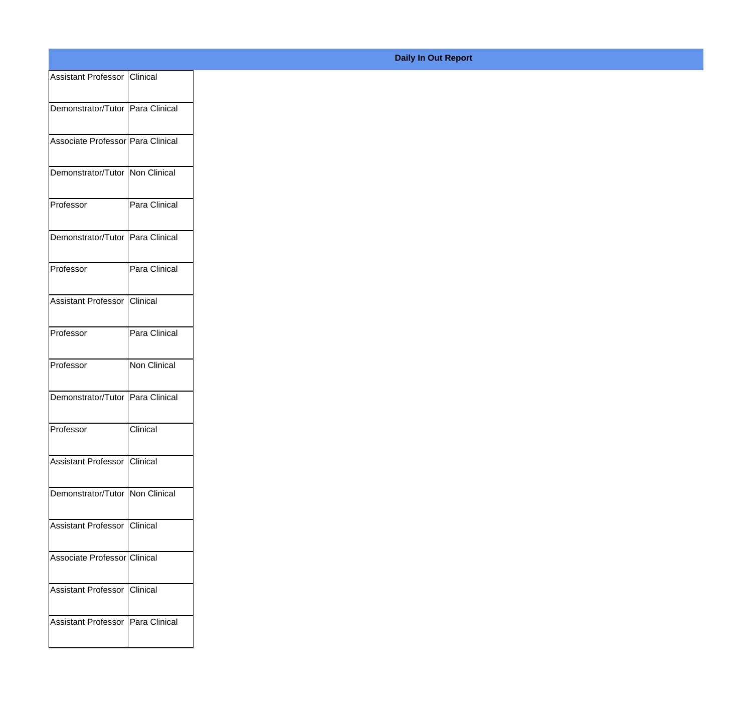| Assistant Professor   Clinical      |                     |
|-------------------------------------|---------------------|
| Demonstrator/Tutor   Para Clinical  |                     |
| Associate Professor   Para Clinical |                     |
| Demonstrator/Tutor   Non Clinical   |                     |
| Professor                           | Para Clinical       |
| Demonstrator/Tutor   Para Clinical  |                     |
| Professor                           | Para Clinical       |
| Assistant Professor Clinical        |                     |
| Professor                           | Para Clinical       |
| Professor                           | <b>Non Clinical</b> |
| Demonstrator/Tutor   Para Clinical  |                     |
| Professor                           | Clinical            |
| Assistant Professor   Clinical      |                     |
| Demonstrator/Tutor   Non Clinical   |                     |
| Assistant Professor   Clinical      |                     |
| Associate Professor Clinical        |                     |
| Assistant Professor   Clinical      |                     |
| <b>Assistant Professor</b>          | Para Clinical       |

## **Daily In Out Report**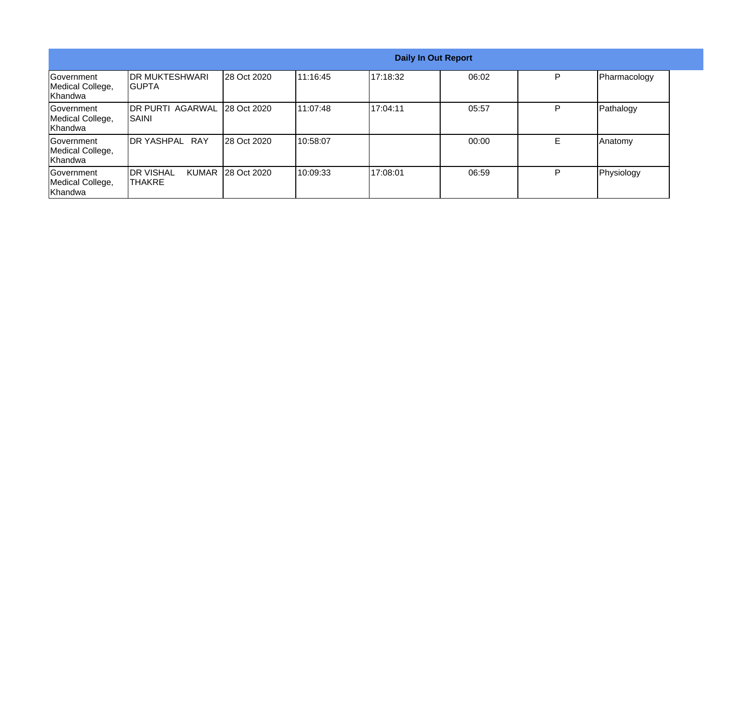| <b>Daily In Out Report</b>                        |                                         |                   |           |          |       |   |              |
|---------------------------------------------------|-----------------------------------------|-------------------|-----------|----------|-------|---|--------------|
| Government<br>Medical College,<br><b>Khandwa</b>  | <b>IDR MUKTESHWARI</b><br>IGUPTA        | 28 Oct 2020       | 11:16:45  | 17:18:32 | 06:02 | P | Pharmacology |
| <b>Sovernment</b><br>Medical College,<br>Khandwa  | <b>DR PURTI AGARWAL</b><br><b>SAINI</b> | 28 Oct 2020       | 111:07:48 | 17:04:11 | 05:57 | P | Pathalogy    |
| <b>IGovernment</b><br>Medical College,<br>Khandwa | <b>IDR YASHPAL RAY</b>                  | 28 Oct 2020       | 10:58:07  |          | 00:00 | E | Anatomy      |
| Government<br>Medical College,<br>Khandwa         | IDR VISHAL<br><b>ITHAKRE</b>            | KUMAR 28 Oct 2020 | 10:09:33  | 17:08:01 | 06:59 | P | Physiology   |